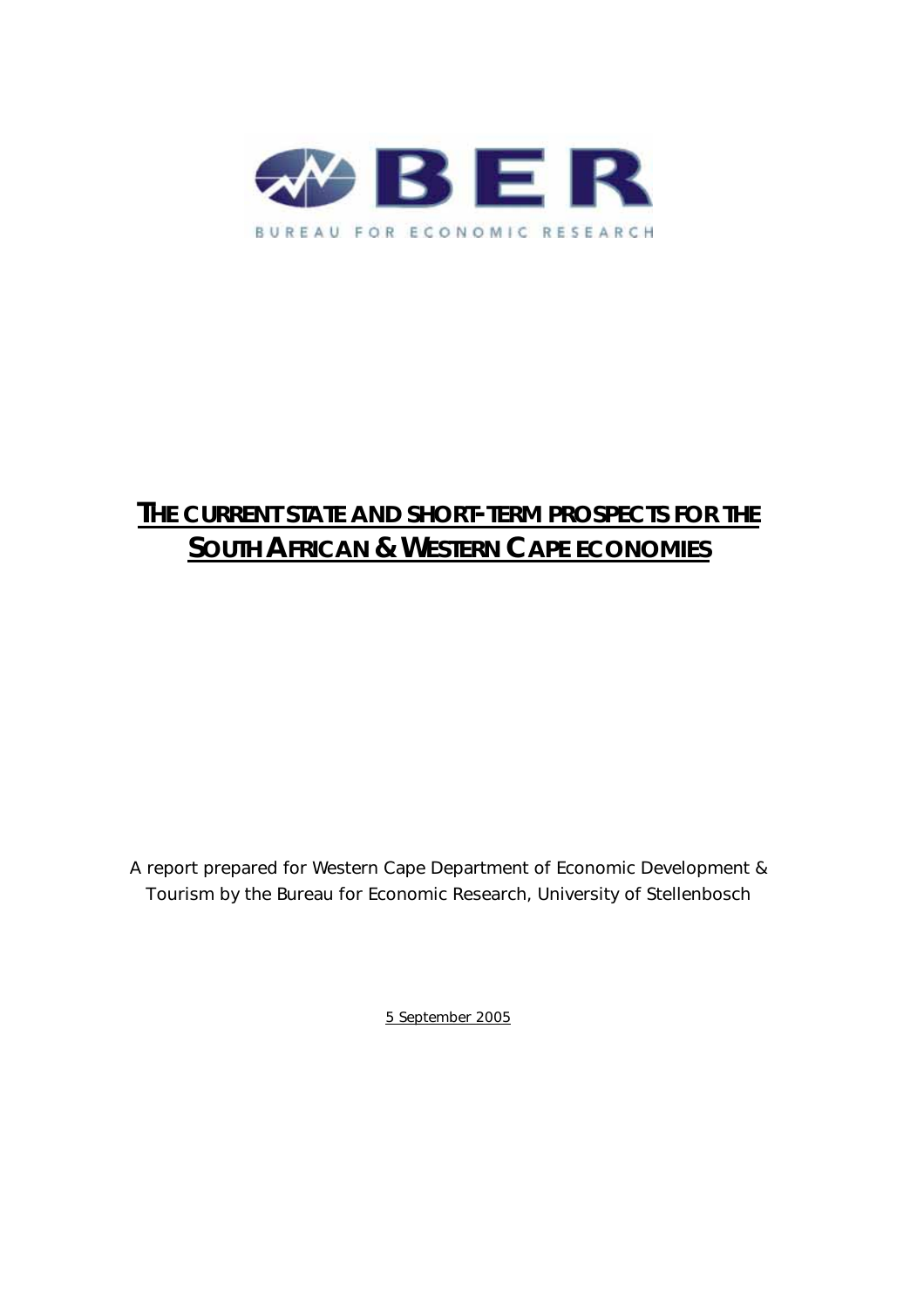

# **THE CURRENT STATE AND SHORT-TERM PROSPECTS FOR THE SOUTH AFRICAN & WESTERN CAPE ECONOMIES**

A report prepared for Western Cape Department of Economic Development & Tourism by the Bureau for Economic Research, University of Stellenbosch

5 September 2005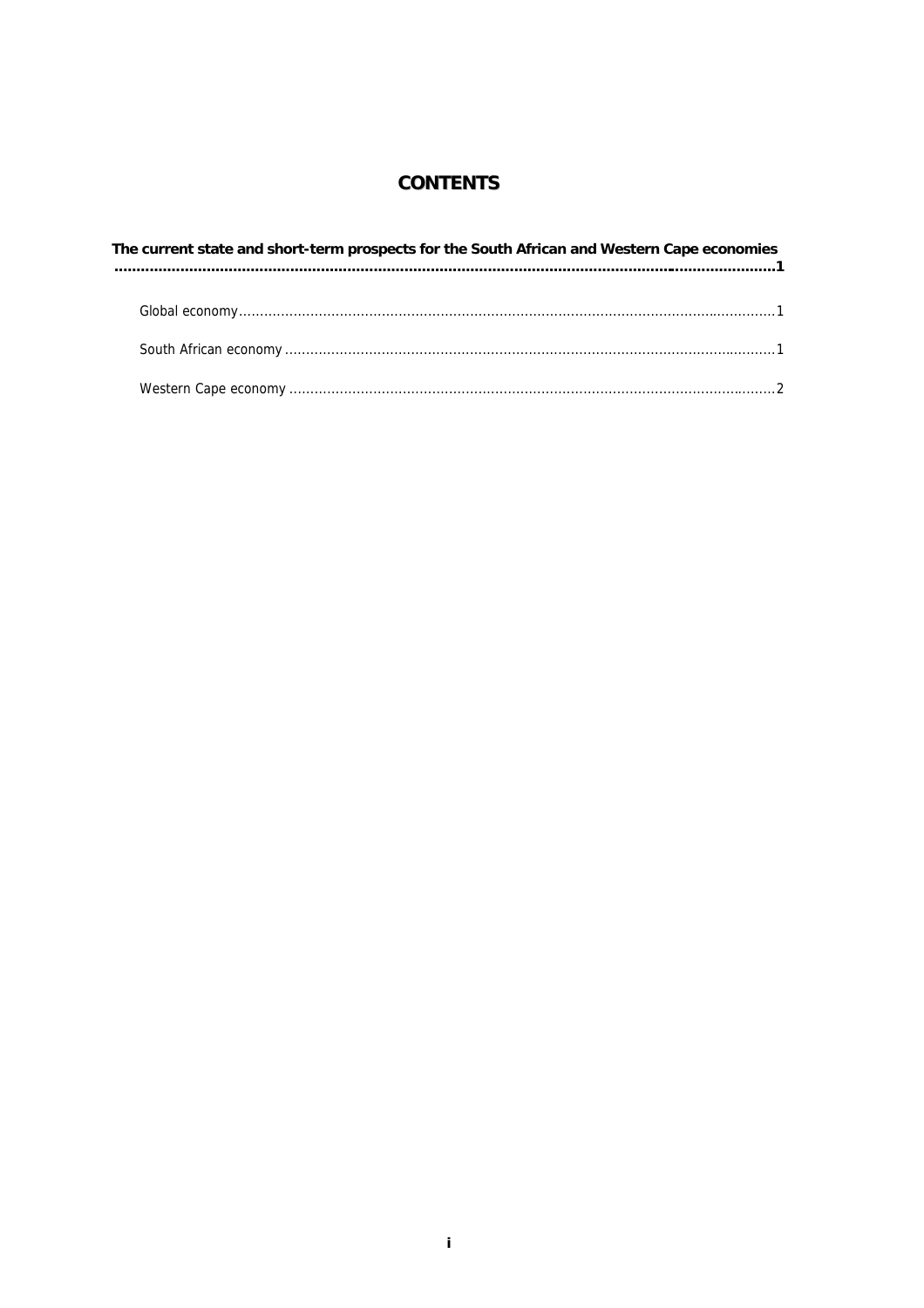# **CONTENTS**

| The current state and short-term prospects for the South African and Western Cape economies |  |  |  |  |  |
|---------------------------------------------------------------------------------------------|--|--|--|--|--|
|                                                                                             |  |  |  |  |  |
|                                                                                             |  |  |  |  |  |
|                                                                                             |  |  |  |  |  |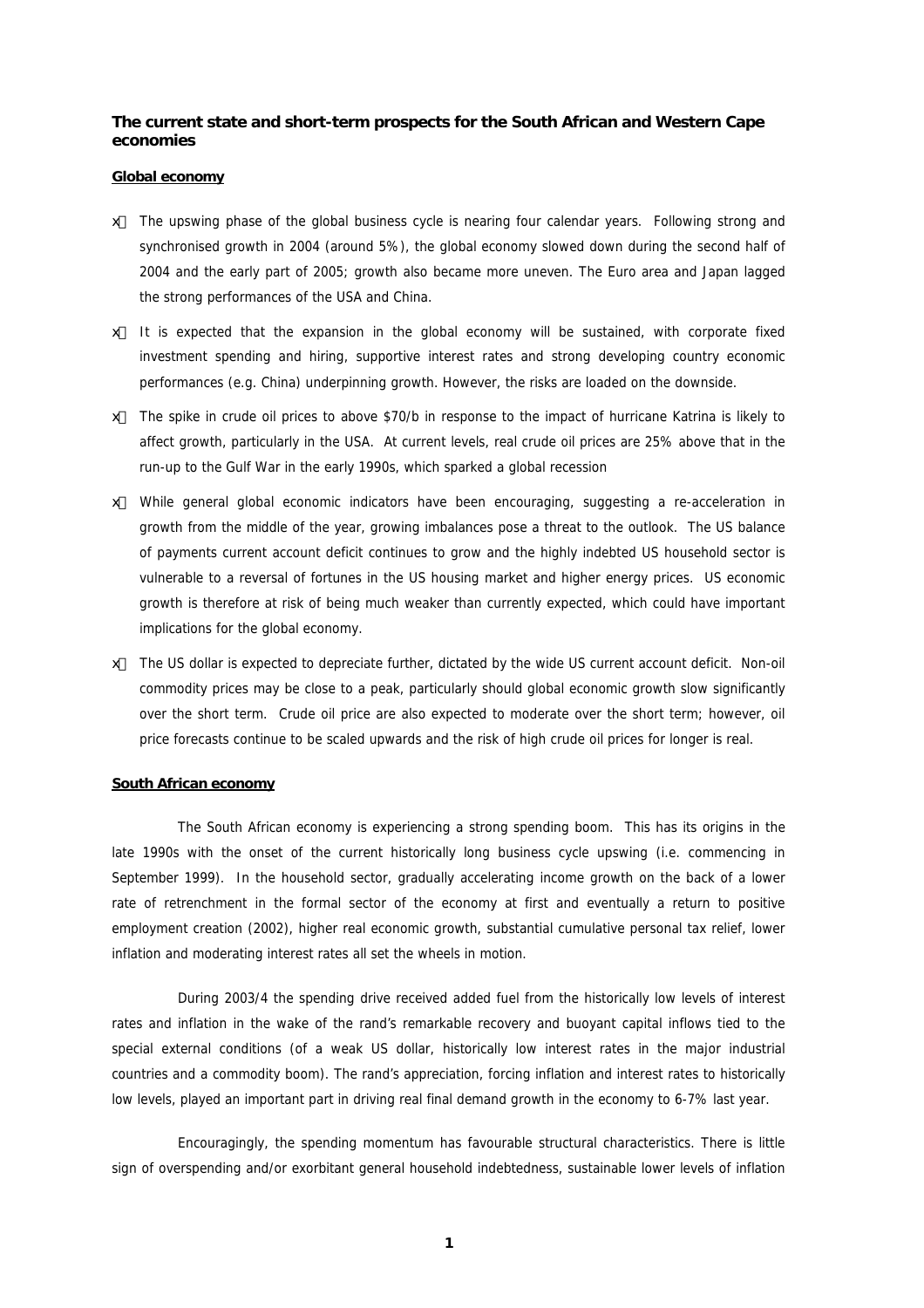## **The current state and short-term prospects for the South African and Western Cape economies**

#### **Global economy**

- # The upswing phase of the global business cycle is nearing four calendar years. Following strong and synchronised growth in 2004 (around 5%), the global economy slowed down during the second half of 2004 and the early part of 2005; growth also became more uneven. The Euro area and Japan lagged the strong performances of the USA and China.
- $#$  It is expected that the expansion in the global economy will be sustained, with corporate fixed investment spending and hiring, supportive interest rates and strong developing country economic performances (e.g. China) underpinning growth. However, the risks are loaded on the downside.
- x The spike in crude oil prices to above \$70/b in response to the impact of hurricane Katrina is likely to affect growth, particularly in the USA. At current levels, real crude oil prices are 25% above that in the run-up to the Gulf War in the early 1990s, which sparked a global recession
- x While general global economic indicators have been encouraging, suggesting a re-acceleration in growth from the middle of the year, growing imbalances pose a threat to the outlook. The US balance of payments current account deficit continues to grow and the highly indebted US household sector is vulnerable to a reversal of fortunes in the US housing market and higher energy prices. US economic growth is therefore at risk of being much weaker than currently expected, which could have important implications for the global economy.
- x The US dollar is expected to depreciate further, dictated by the wide US current account deficit. Non-oil commodity prices may be close to a peak, particularly should global economic growth slow significantly over the short term. Crude oil price are also expected to moderate over the short term; however, oil price forecasts continue to be scaled upwards and the risk of high crude oil prices for longer is real.

#### **South African economy**

The South African economy is experiencing a strong spending boom. This has its origins in the late 1990s with the onset of the current historically long business cycle upswing (i.e. commencing in September 1999). In the household sector, gradually accelerating income growth on the back of a lower rate of retrenchment in the formal sector of the economy at first and eventually a return to positive employment creation (2002), higher real economic growth, substantial cumulative personal tax relief, lower inflation and moderating interest rates all set the wheels in motion.

During 2003/4 the spending drive received added fuel from the historically low levels of interest rates and inflation in the wake of the rand's remarkable recovery and buoyant capital inflows tied to the special external conditions (of a weak US dollar, historically low interest rates in the major industrial countries and a commodity boom). The rand's appreciation, forcing inflation and interest rates to historically low levels, played an important part in driving real final demand growth in the economy to 6-7% last year.

Encouragingly, the spending momentum has favourable structural characteristics. There is little sign of overspending and/or exorbitant general household indebtedness, sustainable lower levels of inflation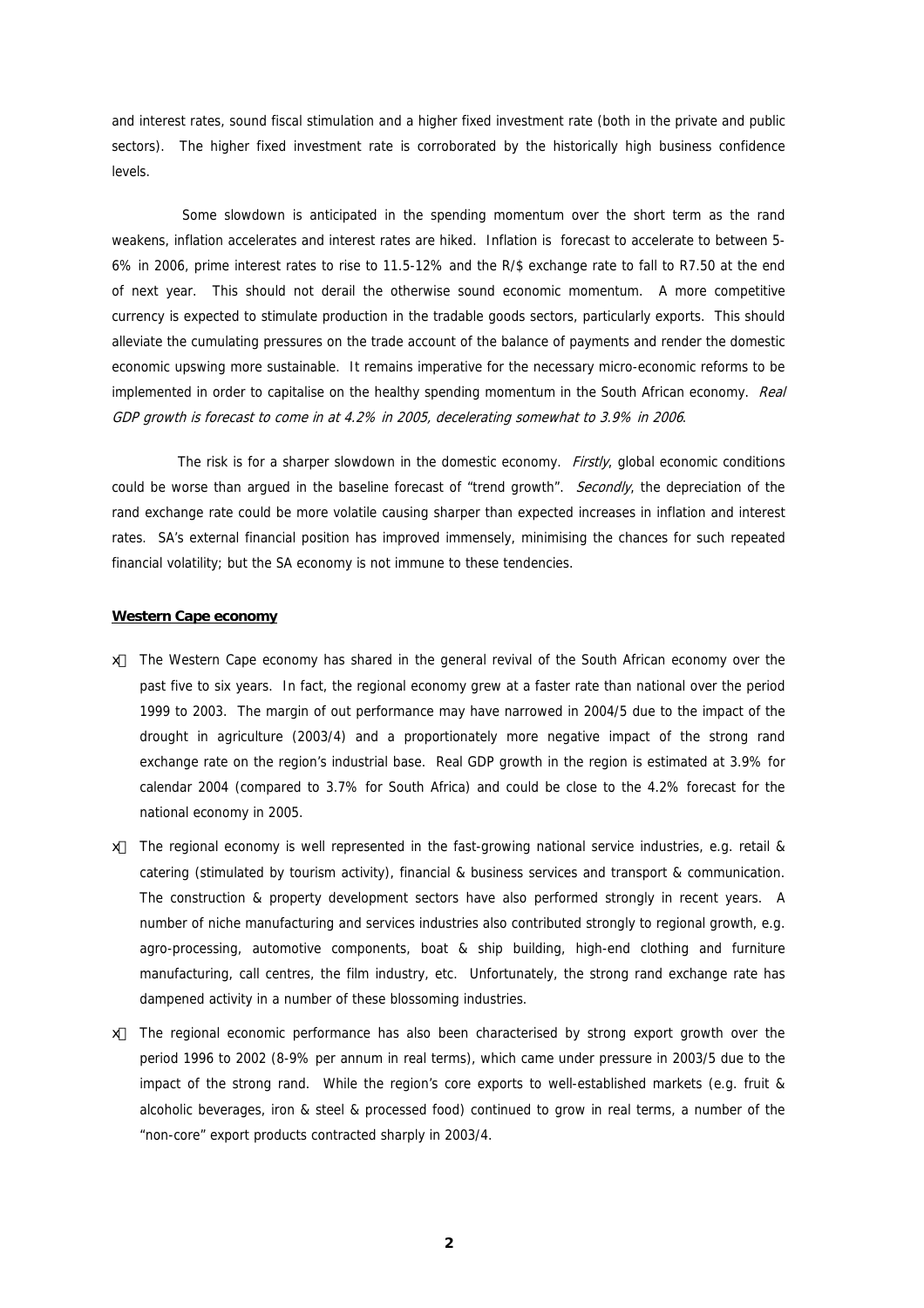and interest rates, sound fiscal stimulation and a higher fixed investment rate (both in the private and public sectors). The higher fixed investment rate is corroborated by the historically high business confidence levels.

Some slowdown is anticipated in the spending momentum over the short term as the rand weakens, inflation accelerates and interest rates are hiked. Inflation is forecast to accelerate to between 5- 6% in 2006, prime interest rates to rise to 11.5-12% and the R/\$ exchange rate to fall to R7.50 at the end of next year. This should not derail the otherwise sound economic momentum. A more competitive currency is expected to stimulate production in the tradable goods sectors, particularly exports. This should alleviate the cumulating pressures on the trade account of the balance of payments and render the domestic economic upswing more sustainable. It remains imperative for the necessary micro-economic reforms to be implemented in order to capitalise on the healthy spending momentum in the South African economy. Real GDP growth is forecast to come in at 4.2% in 2005, decelerating somewhat to 3.9% in 2006.

The risk is for a sharper slowdown in the domestic economy. *Firstly*, global economic conditions could be worse than argued in the baseline forecast of "trend growth". Secondly, the depreciation of the rand exchange rate could be more volatile causing sharper than expected increases in inflation and interest rates. SA's external financial position has improved immensely, minimising the chances for such repeated financial volatility; but the SA economy is not immune to these tendencies.

#### **Western Cape economy**

- ∉# The Western Cape economy has shared in the general revival of the South African economy over the past five to six years. In fact, the regional economy grew at a faster rate than national over the period 1999 to 2003. The margin of out performance may have narrowed in 2004/5 due to the impact of the drought in agriculture (2003/4) and a proportionately more negative impact of the strong rand exchange rate on the region's industrial base. Real GDP growth in the region is estimated at 3.9% for calendar 2004 (compared to 3.7% for South Africa) and could be close to the 4.2% forecast for the national economy in 2005.
- # The regional economy is well represented in the fast-growing national service industries, e.g. retail & catering (stimulated by tourism activity), financial & business services and transport & communication. The construction & property development sectors have also performed strongly in recent years. A number of niche manufacturing and services industries also contributed strongly to regional growth, e.g. agro-processing, automotive components, boat & ship building, high-end clothing and furniture manufacturing, call centres, the film industry, etc. Unfortunately, the strong rand exchange rate has dampened activity in a number of these blossoming industries.
- $#$  The regional economic performance has also been characterised by strong export growth over the period 1996 to 2002 (8-9% per annum in real terms), which came under pressure in 2003/5 due to the impact of the strong rand. While the region's core exports to well-established markets (e.g. fruit & alcoholic beverages, iron & steel & processed food) continued to grow in real terms, a number of the "non-core" export products contracted sharply in 2003/4.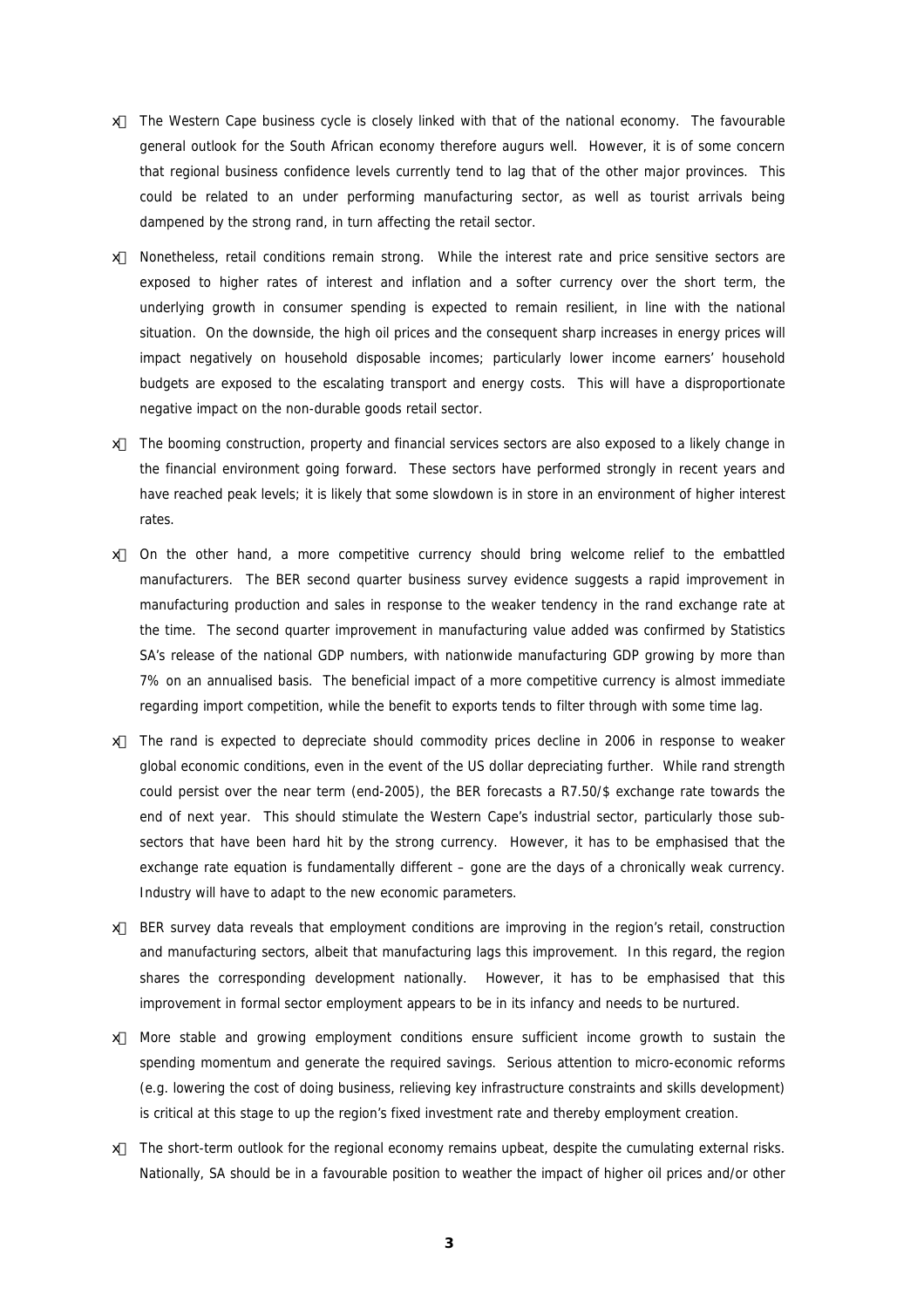- x The Western Cape business cycle is closely linked with that of the national economy. The favourable general outlook for the South African economy therefore augurs well. However, it is of some concern that regional business confidence levels currently tend to lag that of the other major provinces. This could be related to an under performing manufacturing sector, as well as tourist arrivals being dampened by the strong rand, in turn affecting the retail sector.
- Nonetheless, retail conditions remain strong. While the interest rate and price sensitive sectors are exposed to higher rates of interest and inflation and a softer currency over the short term, the underlying growth in consumer spending is expected to remain resilient, in line with the national situation. On the downside, the high oil prices and the consequent sharp increases in energy prices will impact negatively on household disposable incomes; particularly lower income earners' household budgets are exposed to the escalating transport and energy costs. This will have a disproportionate negative impact on the non-durable goods retail sector.
- ∉# The booming construction, property and financial services sectors are also exposed to a likely change in the financial environment going forward. These sectors have performed strongly in recent years and have reached peak levels; it is likely that some slowdown is in store in an environment of higher interest rates.
- $#$  On the other hand, a more competitive currency should bring welcome relief to the embattled manufacturers. The BER second quarter business survey evidence suggests a rapid improvement in manufacturing production and sales in response to the weaker tendency in the rand exchange rate at the time. The second quarter improvement in manufacturing value added was confirmed by Statistics SA's release of the national GDP numbers, with nationwide manufacturing GDP growing by more than 7% on an annualised basis. The beneficial impact of a more competitive currency is almost immediate regarding import competition, while the benefit to exports tends to filter through with some time lag.
- $#$  The rand is expected to depreciate should commodity prices decline in 2006 in response to weaker global economic conditions, even in the event of the US dollar depreciating further. While rand strength could persist over the near term (end-2005), the BER forecasts a R7.50/\$ exchange rate towards the end of next year. This should stimulate the Western Cape's industrial sector, particularly those subsectors that have been hard hit by the strong currency. However, it has to be emphasised that the exchange rate equation is fundamentally different – gone are the days of a chronically weak currency. Industry will have to adapt to the new economic parameters.
- x BER survey data reveals that employment conditions are improving in the region's retail, construction and manufacturing sectors, albeit that manufacturing lags this improvement. In this regard, the region shares the corresponding development nationally. However, it has to be emphasised that this improvement in formal sector employment appears to be in its infancy and needs to be nurtured.
- $#$  More stable and growing employment conditions ensure sufficient income growth to sustain the spending momentum and generate the required savings. Serious attention to micro-economic reforms (e.g. lowering the cost of doing business, relieving key infrastructure constraints and skills development) is critical at this stage to up the region's fixed investment rate and thereby employment creation.
- $#$  The short-term outlook for the regional economy remains upbeat, despite the cumulating external risks. Nationally, SA should be in a favourable position to weather the impact of higher oil prices and/or other